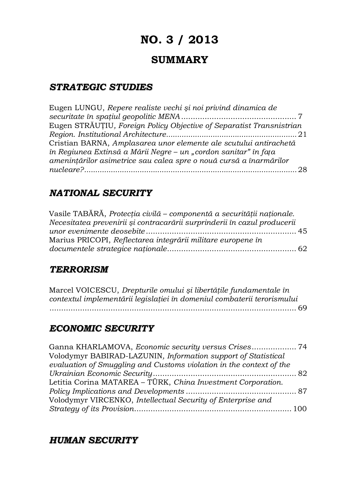# **NO. 3 / 2013**

# **SUMMARY**

### *STRATEGIC STUDIES*

| Eugen LUNGU, Repere realiste vechi și noi privind dinamica de        |
|----------------------------------------------------------------------|
|                                                                      |
| Eugen STRĂUȚIU, Foreign Policy Objective of Separatist Transnistrian |
|                                                                      |
| Cristian BARNA, Amplasarea unor elemente ale scutului antirachetă    |
| în Regiunea Extinsă a Mării Negre – un "cordon sanitar" în fața      |
| amenințărilor asimetrice sau calea spre o nouă cursă a înarmărilor   |
|                                                                      |
|                                                                      |

# *NATIONAL SECURITY*

| Vasile TABĂRĂ, Protecția civilă – componentă a securității naționale.    |  |
|--------------------------------------------------------------------------|--|
| Necesitatea prevenirii și contracarării surprinderii în cazul producerii |  |
|                                                                          |  |
| Marius PRICOPI, Reflectarea integrării militare europene în              |  |
|                                                                          |  |

### *TERRORISM*

Marcel VOICESCU, *Drepturile omului şi libertăţile fundamentale în contextul implementării legislaţiei în domeniul combaterii terorismului* ......................................................................................................... 69

## *ECONOMIC SECURITY*

| Ganna KHARLAMOVA, Economic security versus Crises 74                |  |
|---------------------------------------------------------------------|--|
| Volodymyr BABIRAD-LAZUNIN, Information support of Statistical       |  |
| evaluation of Smuggling and Customs violation in the context of the |  |
|                                                                     |  |
| Letitia Corina MATAREA - TÜRK, China Investment Corporation.        |  |
|                                                                     |  |
| Volodymyr VIRCENKO, Intellectual Security of Enterprise and         |  |
|                                                                     |  |
|                                                                     |  |

## *HUMAN SECURITY*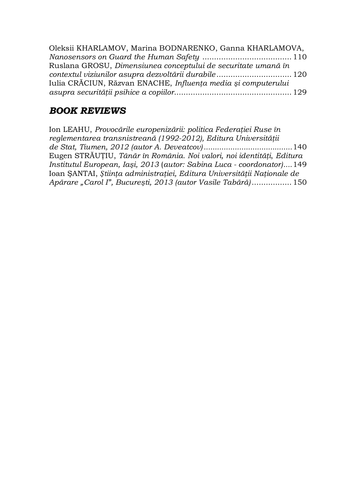| Oleksii KHARLAMOV, Marina BODNARENKO, Ganna KHARLAMOVA,       |  |
|---------------------------------------------------------------|--|
|                                                               |  |
| Ruslana GROSU, Dimensiunea conceptului de securitate umană în |  |
|                                                               |  |
| Iulia CRĂCIUN, Răzvan ENACHE, Influența media și computerului |  |
|                                                               |  |

# *BOOK REVIEWS*

| Ion LEAHU, Provocările europenizării: politica Federației Ruse în       |  |
|-------------------------------------------------------------------------|--|
| reglementarea transnistreană (1992-2012), Editura Universității         |  |
|                                                                         |  |
| Eugen STRĂUȚIU, Tânăr în România. Noi valori, noi identități, Editura   |  |
| Institutul European, Iași, 2013 (autor: Sabina Luca - coordonator)149   |  |
| Ioan SANTAI, Stiința administrației, Editura Universității Naționale de |  |
| Apărare "Carol I", București, 2013 (autor Vasile Tabără) 150            |  |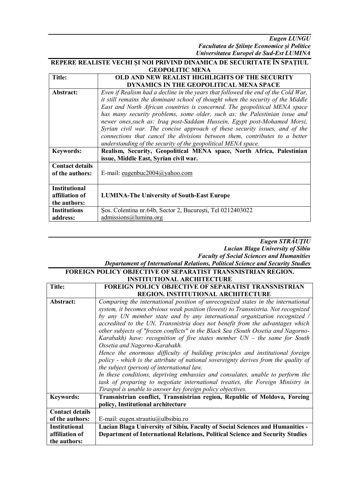*Eugen LUNGU Facultatea de Științe Economice și Politice Universitatea Europei de Sud-Est LUMINA*

#### **REPERE REALISTE VECHI ŞI NOI PRIVIND DINAMICA DE SECURITATE ÎN SPAȚIUL GEOPOLITIC MENA**

| <b>Title:</b>          | OLD AND NEW REALIST HIGHLIGHTS OF THE SECURITY                                    |
|------------------------|-----------------------------------------------------------------------------------|
|                        | <b>DYNAMICS IN THE GEOPOLITICAL MENA SPACE</b>                                    |
| Abstract:              | Even if Realism had a decline in the years that followed the end of the Cold War, |
|                        | it still remains the dominant school of thought when the security of the Middle   |
|                        | East and North African countries is concerned. The geopolitical MENA space        |
|                        | has many security problems, some older, such as: the Palestinian issue and        |
|                        | newer ones, such as: Iraq post-Saddam Hussein, Egypt post-Mohamed Morsi,          |
|                        | Syrian civil war. The concise approach of these security issues, and of the       |
|                        | connections that cancel the divisions between them, contributes to a better       |
|                        | understanding of the security of the geopolitical MENA space.                     |
| <b>Keywords:</b>       | Realism, Security, Geopolitical MENA space, North Africa, Palestinian             |
|                        | issue, Middle East, Syrian civil war.                                             |
| <b>Contact details</b> |                                                                                   |
| of the authors:        | E-mail: eugenbuc2004@yahoo.com                                                    |
|                        |                                                                                   |
| <b>Institutional</b>   |                                                                                   |
| affiliation of         | <b>LUMINA-The University of South-East Europe</b>                                 |
| the authors:           |                                                                                   |
| <b>Institutions</b>    | Sos. Colentina nr.64b, Sector 2, București, Tel 0212403022                        |
| address:               | admissions@lumina.org                                                             |

### *Eugen STRĂUŢIU Lucian Blaga University of Sibiu Faculty of Social Sciences and Humanities*

#### *Departament of International Relations, Political Science and Security Studies*

| <b>FOREIGN POLICY OBJECTIVE OF SEPARATIST TRANSNISTRIAN REGION.</b> |                                                                                                                                                                                                                                                                                                                                                                                                                                                                                                                                                                                                                                                                                                                                                                                                                                                                                                                                                                                                    |
|---------------------------------------------------------------------|----------------------------------------------------------------------------------------------------------------------------------------------------------------------------------------------------------------------------------------------------------------------------------------------------------------------------------------------------------------------------------------------------------------------------------------------------------------------------------------------------------------------------------------------------------------------------------------------------------------------------------------------------------------------------------------------------------------------------------------------------------------------------------------------------------------------------------------------------------------------------------------------------------------------------------------------------------------------------------------------------|
| <b>INSTITUTIONAL ARCHITECTURE</b>                                   |                                                                                                                                                                                                                                                                                                                                                                                                                                                                                                                                                                                                                                                                                                                                                                                                                                                                                                                                                                                                    |
| <b>Title:</b>                                                       | <b>FOREIGN POLICY OBJECTIVE OF SEPARATIST TRANSNISTRIAN</b>                                                                                                                                                                                                                                                                                                                                                                                                                                                                                                                                                                                                                                                                                                                                                                                                                                                                                                                                        |
|                                                                     | <b>REGION. INSTITUTIONAL ARCHITECTURE</b>                                                                                                                                                                                                                                                                                                                                                                                                                                                                                                                                                                                                                                                                                                                                                                                                                                                                                                                                                          |
| Abstract:                                                           | Comparing the international position of unrecognized states in the international<br>system, it becomes obvious weak position (lowest) to Transnistria. Not recognized<br>by any UN member state and by any international organization recognized /<br>accredited to the UN, Transnistria does not benefit from the advantages which<br>other subjects of "frozen conflicts" in the Black Sea (South Ossetia and Nagorno-<br>Karabakh) have: recognition of five states member $UN -$ the same for South<br>Ossetia and Nagorno-Karabakh.<br>Hence the enormous difficulty of building principles and institutional foreign<br>policy - which is the attribute of national sovereignty derives from the quality of<br>the subject (person) of international law.<br>In these conditions, depriving embassies and consulates, unable to perform the<br>task of preparing to negotiate international treaties, the Foreign Ministry in<br>Tiraspol is unable to answer key foreign policy objectives. |
| <b>Keywords:</b>                                                    | Transnistrian conflict, Transnistrian region, Republic of Moldova, Foreing<br>policy, Institutional architecture                                                                                                                                                                                                                                                                                                                                                                                                                                                                                                                                                                                                                                                                                                                                                                                                                                                                                   |
| <b>Contact details</b>                                              |                                                                                                                                                                                                                                                                                                                                                                                                                                                                                                                                                                                                                                                                                                                                                                                                                                                                                                                                                                                                    |
| of the authors:                                                     | E-mail: eugen.strautiu@ulbsibiu.ro                                                                                                                                                                                                                                                                                                                                                                                                                                                                                                                                                                                                                                                                                                                                                                                                                                                                                                                                                                 |
| <b>Institutional</b>                                                | <b>Lucian Blaga University of Sibiu, Faculty of Social Sciences and Humanities -</b>                                                                                                                                                                                                                                                                                                                                                                                                                                                                                                                                                                                                                                                                                                                                                                                                                                                                                                               |
| affiliation of                                                      | Department of International Relations, Political Science and Security Studies                                                                                                                                                                                                                                                                                                                                                                                                                                                                                                                                                                                                                                                                                                                                                                                                                                                                                                                      |
| the authors:                                                        |                                                                                                                                                                                                                                                                                                                                                                                                                                                                                                                                                                                                                                                                                                                                                                                                                                                                                                                                                                                                    |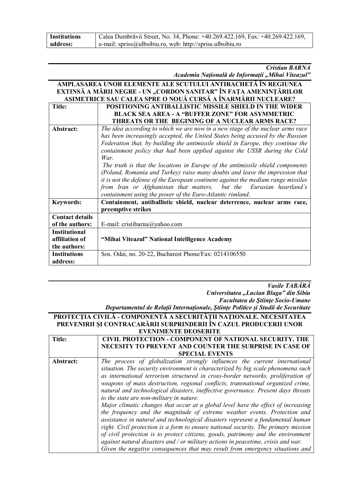| <b>Institutions</b> | Calea Dumbrăvii Street, No. 34, Phone: +40.269.422.169, Fax: +40.269.422.169, |
|---------------------|-------------------------------------------------------------------------------|
| address:            | e-mail: spriss@ulbsibiu.ro, web: http://spriss.ulbsibiu.ro                    |

### *Cristian BARNA*

*Academia Naţională de Informaţii "Mihai Viteazul"*

| AMPLASAREA UNOR ELEMENTE ALE SCUTULUI ANTIRACHETĂ ÎN REGIUNEA |                                                                                   |
|---------------------------------------------------------------|-----------------------------------------------------------------------------------|
|                                                               | EXTINSĂ A MĂRII NEGRE - UN "CORDON SANITAR" ÎN FAȚA AMENINȚĂRILOR                 |
| ASIMETRICE SAU CALEA SPRE O NOUĂ CURSĂ A ÎNARMĂRII NUCLEARE?  |                                                                                   |
| <b>Title:</b>                                                 | POSITIONING ANTIBALLISTIC MISSILE SHIELD IN THE WIDER                             |
|                                                               | <b>BLACK SEA AREA - A "BUFFER ZONE" FOR ASYMMETRIC</b>                            |
|                                                               | THREATS OR THE BEGINING OF A NUCLEAR ARMS RACE?                                   |
| Abstract:                                                     | The idea according to which we are now in a new stage of the nuclear arms race    |
|                                                               | has been increasingly accepted, the United States being accused by the Russian    |
|                                                               | Federation that, by building the antimissile shield in Europe, they continue the  |
|                                                               | containment policy that had been applied against the USSR during the Cold         |
|                                                               | War.                                                                              |
|                                                               | The truth is that the locations in Europe of the antimissile shield components    |
|                                                               | (Poland, Romania and Turkey) raise many doubts and leave the impression that      |
|                                                               | it is not the defense of the European continent against the medium range missiles |
|                                                               | from Iran or Afghanistan that matters, but the Eurasian heartland's               |
|                                                               | containment using the power of the Euro-Atlantic rimland.                         |
| <b>Keywords:</b>                                              | Containment, antiballistic shield, nuclear deterrence, nuclear arms race,         |
|                                                               | preemptive strikes                                                                |
| <b>Contact details</b>                                        |                                                                                   |
| of the authors:                                               | E-mail: cristibarna@yahoo.com                                                     |
| <b>Institutional</b>                                          |                                                                                   |
| affiliation of                                                | "Mihai Viteazul" National Intelligence Academy                                    |
| the authors:                                                  |                                                                                   |
| <b>Institutions</b>                                           | Sos. Odai, no. 20-22, Bucharest Phone/Fax: 0214106550                             |
| address:                                                      |                                                                                   |

#### *Vasile TABĂRĂ Universitatea "Lucian Blaga" din Sibiu Facultatea de Ştiinţe Socio-Umane Departamentul de Relaţii Internaţionale, Ştiinţe Politice şi Studii de Securitate*

#### **PROTECŢIA CIVILĂ - COMPONENTĂ A SECURITĂŢII NAŢIONALE. NECESITATEA PREVENIRII ŞI CONTRACARĂRII SURPRINDERII ÎN CAZUL PRODUCERII UNOR EVENIMENTE DEOSEBITE**

| <b>Title:</b> | CIVIL PROTECTION - COMPONENT OF NATIONAL SECURITY. THE                             |
|---------------|------------------------------------------------------------------------------------|
|               | NECESITY TO PREVENT AND COUNTER THE SURPRISE IN CASE OF                            |
|               | <b>SPECIAL EVENTS</b>                                                              |
| Abstract:     | The process of globalization strongly influences the current international         |
|               | situation. The security environment is characterized by big scale phenomena such   |
|               | as international terrorism structured in cross-border networks, proliferation of   |
|               | weapons of mass destruction, regional conflicts, transnational organized crime,    |
|               | natural and technological disasters, ineffective governance. Present days threats  |
|               | to the state are non-military in nature.                                           |
|               | Major climatic changes that occur at a global level have the effect of increasing  |
|               | the frequency and the magnitude of extreme weather events. Protection and          |
|               | assistance in natural and technological disasters represent a fundamental human    |
|               | right. Civil protection is a form to ensure national security. The primary mission |
|               | of civil protection is to protect citizens, goods, patrimony and the environment   |
|               | against natural disasters and / or military actions in peacetime, crisis and war.  |
|               | Given the negative consequences that may result from emergency situations and      |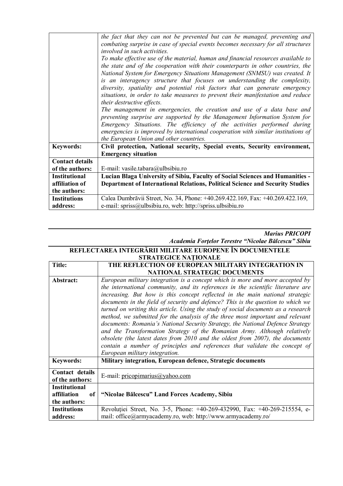|                        | the fact that they can not be prevented but can be managed, preventing and<br>combating surprise in case of special events becomes necessary for all structures<br>involved in such activities.<br>To make effective use of the material, human and financial resources available to<br>the state and of the cooperation with their counterparts in other countries, the<br>National System for Emergency Situations Management (SNMSU) was created. It<br>is an interagency structure that focuses on understanding the complexity,<br>diversity, spatiality and potential risk factors that can generate emergency<br>situations, in order to take measures to prevent their manifestation and reduce<br>their destructive effects.<br>The management in emergencies, the creation and use of a data base and<br>preventing surprise are supported by the Management Information System for<br>Emergency Situations. The efficiency of the activities performed during<br>emergencies is improved by international cooperation with similar institutions of<br>the European Union and other countries. |
|------------------------|----------------------------------------------------------------------------------------------------------------------------------------------------------------------------------------------------------------------------------------------------------------------------------------------------------------------------------------------------------------------------------------------------------------------------------------------------------------------------------------------------------------------------------------------------------------------------------------------------------------------------------------------------------------------------------------------------------------------------------------------------------------------------------------------------------------------------------------------------------------------------------------------------------------------------------------------------------------------------------------------------------------------------------------------------------------------------------------------------------|
| <b>Keywords:</b>       | Civil protection, National security, Special events, Security environment,<br><b>Emergency situation</b>                                                                                                                                                                                                                                                                                                                                                                                                                                                                                                                                                                                                                                                                                                                                                                                                                                                                                                                                                                                                 |
| <b>Contact details</b> |                                                                                                                                                                                                                                                                                                                                                                                                                                                                                                                                                                                                                                                                                                                                                                                                                                                                                                                                                                                                                                                                                                          |
| of the authors:        | E-mail: vasile.tabara@ulbsibiu.ro                                                                                                                                                                                                                                                                                                                                                                                                                                                                                                                                                                                                                                                                                                                                                                                                                                                                                                                                                                                                                                                                        |
| <b>Institutional</b>   | Lucian Blaga University of Sibiu, Faculty of Social Sciences and Humanities -                                                                                                                                                                                                                                                                                                                                                                                                                                                                                                                                                                                                                                                                                                                                                                                                                                                                                                                                                                                                                            |
| affiliation of         | Department of International Relations, Political Science and Security Studies                                                                                                                                                                                                                                                                                                                                                                                                                                                                                                                                                                                                                                                                                                                                                                                                                                                                                                                                                                                                                            |
| the authors:           |                                                                                                                                                                                                                                                                                                                                                                                                                                                                                                                                                                                                                                                                                                                                                                                                                                                                                                                                                                                                                                                                                                          |
| <b>Institutions</b>    | Calea Dumbrăvii Street, No. 34, Phone: +40.269.422.169, Fax: +40.269.422.169,                                                                                                                                                                                                                                                                                                                                                                                                                                                                                                                                                                                                                                                                                                                                                                                                                                                                                                                                                                                                                            |
| address:               | e-mail: spriss@ulbsibiu.ro, web: http://spriss.ulbsibiu.ro                                                                                                                                                                                                                                                                                                                                                                                                                                                                                                                                                                                                                                                                                                                                                                                                                                                                                                                                                                                                                                               |

*Marius PRICOPI*

*Academia Forţelor Terestre "Nicolae Bălcescu" Sibiu*

### **REFLECTAREA INTEGRĂRII MILITARE EUROPENE ÎN DOCUMENTELE STRATEGICE NAŢIONALE**

| <b>Title:</b>                  | THE REFLECTION OF EUROPEAN MILITARY INTEGRATION IN                                 |
|--------------------------------|------------------------------------------------------------------------------------|
|                                | <b>NATIONAL STRATEGIC DOCUMENTS</b>                                                |
| Abstract:                      | European military integration is a concept which is more and more accepted by      |
|                                | the international community, and its references in the scientific literature are   |
|                                | increasing. But how is this concept reflected in the main national strategic       |
|                                | documents in the field of security and defence? This is the question to which we   |
|                                | turned on writing this article. Using the study of social documents as a research  |
|                                | method, we submitted for the analysis of the three most important and relevant     |
|                                | documents: Romania's National Security Strategy, the National Defence Strategy     |
|                                | and the Transformation Strategy of the Romanian Army. Although relatively          |
|                                | obsolete (the latest dates from $2010$ and the oldest from $2007$ ), the documents |
|                                | contain a number of principles and references that validate the concept of         |
|                                | European military integration.                                                     |
| <b>Keywords:</b>               | Military integration, European defence, Strategic documents                        |
| Contact details                |                                                                                    |
| of the authors:                | E-mail: pricopimarius $\omega$ yahoo.com                                           |
| <b>Institutional</b>           |                                                                                    |
| affiliation<br>of <sub>1</sub> | "Nicolae Bălcescu" Land Forces Academy, Sibiu                                      |
| the authors:                   |                                                                                    |
| <b>Institutions</b>            | Revolutiei Street, No. 3-5, Phone: +40-269-432990, Fax: +40-269-215554, e-         |
| address:                       | mail: office@armyacademy.ro, web: http://www.armyacademy.ro/                       |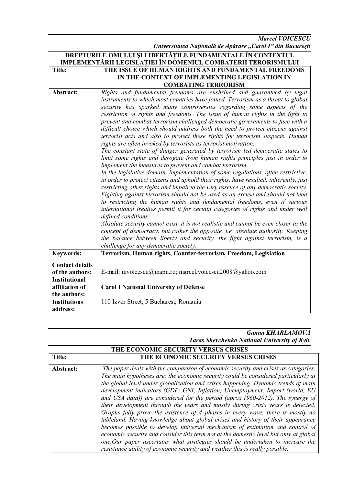*Marcel VOICESCU Universitatea Naţională de Apărare "Carol I" din Bucureşti*

|                                                               | <b>DREPTURILE OMULUI ȘI LIBERTAȚILE FUNDAMENTALE ÎN CONTEXTUL</b>                                                                                                                                                                                                                                                                                                                                                                                                                                                                                                                                                                                                                                                                                                                                                                                                                                                                                                                                                                                                                                                                                                                                                                                                                                                                                                                                                                                                                                                                                                                                                                                                                                                      |
|---------------------------------------------------------------|------------------------------------------------------------------------------------------------------------------------------------------------------------------------------------------------------------------------------------------------------------------------------------------------------------------------------------------------------------------------------------------------------------------------------------------------------------------------------------------------------------------------------------------------------------------------------------------------------------------------------------------------------------------------------------------------------------------------------------------------------------------------------------------------------------------------------------------------------------------------------------------------------------------------------------------------------------------------------------------------------------------------------------------------------------------------------------------------------------------------------------------------------------------------------------------------------------------------------------------------------------------------------------------------------------------------------------------------------------------------------------------------------------------------------------------------------------------------------------------------------------------------------------------------------------------------------------------------------------------------------------------------------------------------------------------------------------------------|
| IMPLEMENTĂRII LEGISLAȚIEI ÎN DOMENIUL COMBATERII TERORISMULUI |                                                                                                                                                                                                                                                                                                                                                                                                                                                                                                                                                                                                                                                                                                                                                                                                                                                                                                                                                                                                                                                                                                                                                                                                                                                                                                                                                                                                                                                                                                                                                                                                                                                                                                                        |
| <b>Title:</b>                                                 | THE ISSUE OF HUMAN RIGHTS AND FUNDAMENTAL FREEDOMS                                                                                                                                                                                                                                                                                                                                                                                                                                                                                                                                                                                                                                                                                                                                                                                                                                                                                                                                                                                                                                                                                                                                                                                                                                                                                                                                                                                                                                                                                                                                                                                                                                                                     |
|                                                               | IN THE CONTEXT OF IMPLEMENTING LEGISLATION IN                                                                                                                                                                                                                                                                                                                                                                                                                                                                                                                                                                                                                                                                                                                                                                                                                                                                                                                                                                                                                                                                                                                                                                                                                                                                                                                                                                                                                                                                                                                                                                                                                                                                          |
|                                                               | <b>COMBATING TERRORISM</b>                                                                                                                                                                                                                                                                                                                                                                                                                                                                                                                                                                                                                                                                                                                                                                                                                                                                                                                                                                                                                                                                                                                                                                                                                                                                                                                                                                                                                                                                                                                                                                                                                                                                                             |
| Abstract:                                                     | Rights and fundamental freedoms are enshrined and guaranteed by legal<br>instruments to which most countries have joined. Terrorism as a threat to global<br>security has sparked many controversies regarding some aspects of the<br>restriction of rights and freedoms. The issue of human rights in the fight to<br>prevent and combat terrorism challenged democratic governments to face with a<br>difficult choice which should address both the need to protect citizens against<br>terrorist acts and also to protect these rights for terrorism suspects. Human<br>rights are often invoked by terrorists as terrorist motivation.<br>The constant state of danger generated by terrorism led democratic states to<br>limit some rights and derogate from human rights principles just in order to<br>implement the measures to prevent and combat terrorism.<br>In the legislative domain, implementation of some regulations, often restrictive,<br>in order to protect citizens and uphold their rights, have resulted, inherently, just<br>restricting other rights and impaired the very essence of any democratic society.<br>Fighting against terrorism should not be used as an excuse and should not lead<br>to restricting the human rights and fundamental freedoms, even if various<br>international treaties permit it for certain categories of rights and under well<br>defined conditions.<br>Absolute security cannot exist, it is not realistic and cannot be even closer to the<br>concept of democracy, but rather the opposite, i.e. absolute authority. Keeping<br>the balance between liberty and security, the fight against terrorism, is a<br>challenge for any democratic society. |
| <b>Keywords:</b>                                              | Terrorism, Human rights, Counter-terrorism, Freedom, Legislation                                                                                                                                                                                                                                                                                                                                                                                                                                                                                                                                                                                                                                                                                                                                                                                                                                                                                                                                                                                                                                                                                                                                                                                                                                                                                                                                                                                                                                                                                                                                                                                                                                                       |
| <b>Contact details</b>                                        |                                                                                                                                                                                                                                                                                                                                                                                                                                                                                                                                                                                                                                                                                                                                                                                                                                                                                                                                                                                                                                                                                                                                                                                                                                                                                                                                                                                                                                                                                                                                                                                                                                                                                                                        |
| of the authors:                                               | E-mail: mvoicescu@mapn.ro; marcel.voicescu2008@yahoo.com                                                                                                                                                                                                                                                                                                                                                                                                                                                                                                                                                                                                                                                                                                                                                                                                                                                                                                                                                                                                                                                                                                                                                                                                                                                                                                                                                                                                                                                                                                                                                                                                                                                               |
| <b>Institutional</b>                                          |                                                                                                                                                                                                                                                                                                                                                                                                                                                                                                                                                                                                                                                                                                                                                                                                                                                                                                                                                                                                                                                                                                                                                                                                                                                                                                                                                                                                                                                                                                                                                                                                                                                                                                                        |
| affiliation of                                                | <b>Carol I National University of Defense</b>                                                                                                                                                                                                                                                                                                                                                                                                                                                                                                                                                                                                                                                                                                                                                                                                                                                                                                                                                                                                                                                                                                                                                                                                                                                                                                                                                                                                                                                                                                                                                                                                                                                                          |
| the authors:                                                  |                                                                                                                                                                                                                                                                                                                                                                                                                                                                                                                                                                                                                                                                                                                                                                                                                                                                                                                                                                                                                                                                                                                                                                                                                                                                                                                                                                                                                                                                                                                                                                                                                                                                                                                        |
| <b>Institutions</b>                                           | 110 Izvor Street, 5 Bucharest, Romania                                                                                                                                                                                                                                                                                                                                                                                                                                                                                                                                                                                                                                                                                                                                                                                                                                                                                                                                                                                                                                                                                                                                                                                                                                                                                                                                                                                                                                                                                                                                                                                                                                                                                 |
| address:                                                      |                                                                                                                                                                                                                                                                                                                                                                                                                                                                                                                                                                                                                                                                                                                                                                                                                                                                                                                                                                                                                                                                                                                                                                                                                                                                                                                                                                                                                                                                                                                                                                                                                                                                                                                        |

#### *Ganna KHARLAMOVA Taras Shevchenko National University of Kyiv*

| THE ECONOMIC SECURITY VERSUS CRISES |                                                                                                                                                                                                                                                                                                                                                                                                                                                                                                                                                                                                                                                                                                                                                                                                                                                                                                                                                                                                                                    |
|-------------------------------------|------------------------------------------------------------------------------------------------------------------------------------------------------------------------------------------------------------------------------------------------------------------------------------------------------------------------------------------------------------------------------------------------------------------------------------------------------------------------------------------------------------------------------------------------------------------------------------------------------------------------------------------------------------------------------------------------------------------------------------------------------------------------------------------------------------------------------------------------------------------------------------------------------------------------------------------------------------------------------------------------------------------------------------|
| <b>Title:</b>                       | THE ECONOMIC SECURITY VERSUS CRISES                                                                                                                                                                                                                                                                                                                                                                                                                                                                                                                                                                                                                                                                                                                                                                                                                                                                                                                                                                                                |
| Abstract:                           | The paper deals with the comparison of economic security and crises as categories.<br>The main hypotheses are: the economic security could be considered particularly at<br>the global level under globalization and crises happening. Dynamic trends of main<br>development indicators (GDP; GNI; Inflation; Unemployment; Import (world, EU<br>and USA data)) are considered for the period (aprox.1960-2012). The synergy of<br>their development through the years and mostly during crisis years is detected.<br>Graphs fully prove the existence of 4 phases in every wave, there is mostly no<br>tableland. Having knowledge about global crises and history of their appearance<br>becomes possible to develop universal mechanism of estimation and control of<br>economic security and consider this term not at the domestic level but only at global<br>one. Our paper ascertains what strategies should be undertaken to increase the<br>resistance ability of economic security and weather this is really possible. |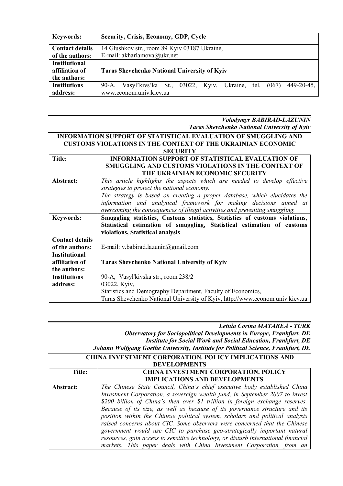| <b>Keywords:</b>       | Security, Crisis, Economy, GDP, Cycle                                                 |
|------------------------|---------------------------------------------------------------------------------------|
| <b>Contact details</b> | 14 Glushkov str., room 89 Kyiv 03187 Ukraine,                                         |
| of the authors:        | E-mail: akharlamova@ukr.net                                                           |
| <b>Institutional</b>   |                                                                                       |
| affiliation of         | <b>Taras Shevchenko National University of Kyiv</b>                                   |
| the authors:           |                                                                                       |
| <b>Institutions</b>    | $449 - 20 - 45$<br>Vasyl'kivs'ka St., 03022, Kyiv, Ukraine,<br>tel.<br>(067)<br>90-A. |
| address:               | www.econom.univ.kiev.ua                                                               |

*Volodymyr BABIRAD-LAZUNIN Taras Shevchenko National University of Kyiv*

#### **INFORMATION SUPPORT OF STATISTICAL EVALUATION OF SMUGGLING AND CUSTOMS VIOLATIONS IN THE CONTEXT OF THE UKRAINIAN ECONOMIC SECURITY Title: INFORMATION SUPPORT OF STATISTICAL EVALUATION OF SMUGGLING AND CUSTOMS VIOLATIONS IN THE CONTEXT OF THE UKRAINIAN ECONOMIC SECURITY Abstract:** *This article highlights the aspects which are needed to develop effective strategies to protect the national economy. The strategy is based on creating a proper database, which elucidates the*

|                        | information and analytical framework for making decisions aimed at           |
|------------------------|------------------------------------------------------------------------------|
|                        |                                                                              |
|                        | overcoming the consequences of illegal activities and preventing smuggling.  |
| <b>Keywords:</b>       | Smuggling statistics, Customs statistics, Statistics of customs violations,  |
|                        | Statistical estimation of smuggling, Statistical estimation of customs       |
|                        | violations, Statistical analysis                                             |
| <b>Contact details</b> |                                                                              |
| of the authors:        | E-mail: v.babirad.lazunin@gmail.com                                          |
| <b>Institutional</b>   |                                                                              |
| affiliation of         | <b>Taras Shevchenko National University of Kyiv</b>                          |
| the authors:           |                                                                              |
| <b>Institutions</b>    | 90-A, Vasyl'kivska str., room.238/2                                          |
| address:               | 03022, Kyiv,                                                                 |
|                        | Statistics and Demography Department, Faculty of Economics,                  |
|                        | Taras Shevchenko National University of Kyiv, http://www.econom.univ.kiev.ua |

*Letitia Corina MATAREA - TÜRK Observatory for Sociopolitical Developments in Europe, Frankfurt, DE Institute for Social Work and Social Education, Frankfurt, DE Johann Wolfgang Goethe University, Institute for Political Science, Frankfurt, DE*

#### **CHINA INVESTMENT CORPORATION. POLICY IMPLICATIONS AND DEVELOPMENTS**

| Title:    | <b>CHINA INVESTMENT CORPORATION. POLICY</b>                                        |
|-----------|------------------------------------------------------------------------------------|
|           | <b>IMPLICATIONS AND DEVELOPMENTS</b>                                               |
| Abstract: | The Chinese State Council, China's chief executive body established China          |
|           | Investment Corporation, a sovereign wealth fund, in September 2007 to invest       |
|           | \$200 billion of China's then over \$1 trillion in foreign exchange reserves.      |
|           | Because of its size, as well as because of its governance structure and its        |
|           | position within the Chinese political system, scholars and political analysts      |
|           | raised concerns about CIC. Some observers were concerned that the Chinese          |
|           | government would use CIC to purchase geo-strategically important natural           |
|           | resources, gain access to sensitive technology, or disturb international financial |
|           | markets. This paper deals with China Investment Corporation, from an               |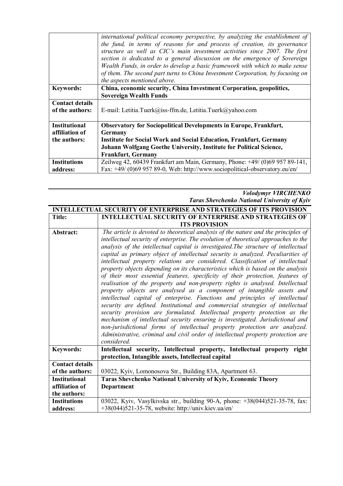|                                                        | international political economy perspective, by analyzing the establishment of<br>the fund, in terms of reasons for and process of creation, its governance<br>structure as well as CIC's main investment activities since 2007. The first<br>section is dedicated to a general discussion on the emergence of Sovereign<br>Wealth Funds, in order to develop a basic framework with which to make sense<br>of them. The second part turns to China Investment Corporation, by focusing on |
|--------------------------------------------------------|--------------------------------------------------------------------------------------------------------------------------------------------------------------------------------------------------------------------------------------------------------------------------------------------------------------------------------------------------------------------------------------------------------------------------------------------------------------------------------------------|
|                                                        | the aspects mentioned above.                                                                                                                                                                                                                                                                                                                                                                                                                                                               |
| <b>Keywords:</b>                                       | China, economic security, China Investment Corporation, geopolitics,<br><b>Sovereign Wealth Funds</b>                                                                                                                                                                                                                                                                                                                                                                                      |
| <b>Contact details</b><br>of the authors:              | E-mail: Letitia.Tuerk@iss-ffm.de, Letitia.Tuerk@yahoo.com                                                                                                                                                                                                                                                                                                                                                                                                                                  |
| <b>Institutional</b><br>affiliation of<br>the authors: | <b>Observatory for Sociopolitical Developments in Europe, Frankfurt,</b><br><b>Germany</b><br><b>Institute for Social Work and Social Education, Frankfurt, Germany</b><br>Johann Wolfgang Goethe University, Institute for Political Science,<br><b>Frankfurt, Germany</b>                                                                                                                                                                                                                |
| <b>Institutions</b><br>address:                        | Zeilweg 42, 60439 Frankfurt am Main, Germany, Phone: +49/ (0)69 957 89-141,<br>Fax: +49/ (0)69 957 89-0, Web: http://www.sociopolitical-observatory.eu/en/                                                                                                                                                                                                                                                                                                                                 |

#### *Volodymyr VIRCHENKO Taras Shevchenko National University of Kyiv*

|                        | <b>INTELLECTUAL SECURITY OF ENTERPRISE AND STRATEGIES OF ITS PROVISION</b>                                                                                                                                                                                                                                                                                                                                                                                                                                                                                                                                                                                                                                                                                  |
|------------------------|-------------------------------------------------------------------------------------------------------------------------------------------------------------------------------------------------------------------------------------------------------------------------------------------------------------------------------------------------------------------------------------------------------------------------------------------------------------------------------------------------------------------------------------------------------------------------------------------------------------------------------------------------------------------------------------------------------------------------------------------------------------|
| <b>Title:</b>          | <b>INTELLECTUAL SECURITY OF ENTERPRISE AND STRATEGIES OF</b>                                                                                                                                                                                                                                                                                                                                                                                                                                                                                                                                                                                                                                                                                                |
|                        | <b>ITS PROVISION</b>                                                                                                                                                                                                                                                                                                                                                                                                                                                                                                                                                                                                                                                                                                                                        |
| Abstract:              | The article is devoted to theoretical analysis of the nature and the principles of                                                                                                                                                                                                                                                                                                                                                                                                                                                                                                                                                                                                                                                                          |
|                        | intellectual security of enterprise. The evolution of theoretical approaches to the                                                                                                                                                                                                                                                                                                                                                                                                                                                                                                                                                                                                                                                                         |
|                        | analysis of the intellectual capital is investigated. The structure of intellectual                                                                                                                                                                                                                                                                                                                                                                                                                                                                                                                                                                                                                                                                         |
|                        | capital as primary object of intellectual security is analyzed. Peculiarities of                                                                                                                                                                                                                                                                                                                                                                                                                                                                                                                                                                                                                                                                            |
|                        | intellectual property relations are considered. Classification of intellectual                                                                                                                                                                                                                                                                                                                                                                                                                                                                                                                                                                                                                                                                              |
|                        | property objects depending on its characteristics which is based on the analysis                                                                                                                                                                                                                                                                                                                                                                                                                                                                                                                                                                                                                                                                            |
|                        | of their most essential features, specificity of their protection, features of<br>realisation of the property and non-property rights is analysed. Intellectual<br>property objects are analysed as a component of intangible assets and<br>intellectual capital of enterprise. Functions and principles of intellectual<br>security are defined. Institutional and commercial strategies of intellectual<br>security provision are formulated. Intellectual property protection as the<br>mechanism of intellectual security ensuring is investigated. Jurisdictional and<br>non-jurisdictional forms of intellectual property protection are analyzed.<br>Administrative, criminal and civil order of intellectual property protection are<br>considered. |
| <b>Keywords:</b>       | Intellectual security, Intellectual property, Intellectual property right                                                                                                                                                                                                                                                                                                                                                                                                                                                                                                                                                                                                                                                                                   |
|                        | protection, Intangible assets, Intellectual capital                                                                                                                                                                                                                                                                                                                                                                                                                                                                                                                                                                                                                                                                                                         |
| <b>Contact details</b> |                                                                                                                                                                                                                                                                                                                                                                                                                                                                                                                                                                                                                                                                                                                                                             |
| of the authors:        | 03022, Kyiv, Lomonosova Str., Building 83A, Apartment 63.                                                                                                                                                                                                                                                                                                                                                                                                                                                                                                                                                                                                                                                                                                   |
| <b>Institutional</b>   | Taras Shevchenko National University of Kyiv, Economic Theory                                                                                                                                                                                                                                                                                                                                                                                                                                                                                                                                                                                                                                                                                               |
| affiliation of         | Department                                                                                                                                                                                                                                                                                                                                                                                                                                                                                                                                                                                                                                                                                                                                                  |
| the authors:           |                                                                                                                                                                                                                                                                                                                                                                                                                                                                                                                                                                                                                                                                                                                                                             |
| <b>Institutions</b>    | 03022, Kyiv, Vasylkivska str., building 90-A, phone: +38(044)521-35-78, fax:                                                                                                                                                                                                                                                                                                                                                                                                                                                                                                                                                                                                                                                                                |
| address:               | $+38(044)521-35-78$ , website: http://univ.kiev.ua/en/                                                                                                                                                                                                                                                                                                                                                                                                                                                                                                                                                                                                                                                                                                      |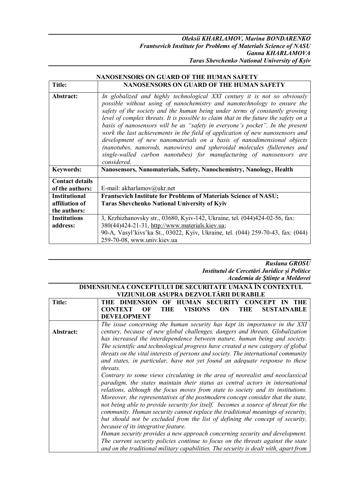|                        | NANOSENSORS ON GUARD OF THE HUMAN SAFETY                                                                                                                                                                                                                                                                                                                                                                                                                                                                                                                                                                                                                                                                                                     |
|------------------------|----------------------------------------------------------------------------------------------------------------------------------------------------------------------------------------------------------------------------------------------------------------------------------------------------------------------------------------------------------------------------------------------------------------------------------------------------------------------------------------------------------------------------------------------------------------------------------------------------------------------------------------------------------------------------------------------------------------------------------------------|
| <b>Title:</b>          | NANOSENSORS ON GUARD OF THE HUMAN SAFETY                                                                                                                                                                                                                                                                                                                                                                                                                                                                                                                                                                                                                                                                                                     |
| Abstract:              | In globalized and highly technological XXI century it is not so obviously<br>possible without using of nanochemistry and nanotechnology to ensure the<br>safety of the society and the human being under terms of constantly growing<br>level of complex threats. It is possible to claim that in the future the safety on a<br>basis of nanosensors will be as "safety in everyone's pocket". In the present<br>work the last achievements in the field of application of new nanosensors and<br>development of new nanomaterials on a basis of nanodimensional objects<br>(nanotubes, nanorods, nanowires) and spheroidal molecules (fullerenes and<br>single-walled carbon nanotubes) for manufacturing of nanosensors are<br>considered. |
| <b>Keywords:</b>       | Nanosensors, Nanomaterials, Safety, Nanochemistry, Nanology, Health                                                                                                                                                                                                                                                                                                                                                                                                                                                                                                                                                                                                                                                                          |
| <b>Contact details</b> |                                                                                                                                                                                                                                                                                                                                                                                                                                                                                                                                                                                                                                                                                                                                              |
| of the authors:        | E-mail: akharlamov@ukr.net                                                                                                                                                                                                                                                                                                                                                                                                                                                                                                                                                                                                                                                                                                                   |
| <b>Institutional</b>   | Frantsevich Institute for Problems of Materials Science of NASU;                                                                                                                                                                                                                                                                                                                                                                                                                                                                                                                                                                                                                                                                             |
| affiliation of         | <b>Taras Shevchenko National University of Kyiv</b>                                                                                                                                                                                                                                                                                                                                                                                                                                                                                                                                                                                                                                                                                          |
| the authors:           |                                                                                                                                                                                                                                                                                                                                                                                                                                                                                                                                                                                                                                                                                                                                              |
| <b>Institutions</b>    | 3, Krzhizhanovsky str., 03680, Kyiv-142, Ukraine, tel. (044)424-02-56, fax:                                                                                                                                                                                                                                                                                                                                                                                                                                                                                                                                                                                                                                                                  |
| address:               | 380(44)424-21-31, http://www.materials.kiev.ua;                                                                                                                                                                                                                                                                                                                                                                                                                                                                                                                                                                                                                                                                                              |
|                        | 90-A, Vasyl'kivs'ka St., 03022, Kyiv, Ukraine, tel. (044) 259-70-43, fax: (044)                                                                                                                                                                                                                                                                                                                                                                                                                                                                                                                                                                                                                                                              |
|                        | 259-70-08, www.univ.kiev.ua                                                                                                                                                                                                                                                                                                                                                                                                                                                                                                                                                                                                                                                                                                                  |

# **NANOSENSORS ON GUARD OF THE HUMAN SAFETY**

#### *Ruslana GROSU Institutul de Cercetări Juridice și Politice Academia de Ştiinţe a Moldovei*

| DIMENSIUNEA CONCEPTULUI DE SECURITATE UMANĂ ÎN CONTEXTUL<br>VIZIUNILOR ASUPRA DEZVOLTĂRII DURABILE |                                                                                                                                                                                                                                                                                                                                                                                                                                                                                                                                                                                                                                                                                                                                                                                                                                                                                                 |
|----------------------------------------------------------------------------------------------------|-------------------------------------------------------------------------------------------------------------------------------------------------------------------------------------------------------------------------------------------------------------------------------------------------------------------------------------------------------------------------------------------------------------------------------------------------------------------------------------------------------------------------------------------------------------------------------------------------------------------------------------------------------------------------------------------------------------------------------------------------------------------------------------------------------------------------------------------------------------------------------------------------|
| <b>Title:</b>                                                                                      | <b>THE DIMENSION</b><br>OF HUMAN SECURITY<br><b>CONCEPT</b><br>THE<br>IN<br><b>VISIONS</b><br><b>SUSTAINABLE</b><br><b>CONTEXT</b><br>OF<br>THE<br>ON<br>THE<br><b>DEVELOPMENT</b>                                                                                                                                                                                                                                                                                                                                                                                                                                                                                                                                                                                                                                                                                                              |
| Abstract:                                                                                          | The issue concerning the human security has kept its importance in the XXI<br>century, because of new global challenges, dangers and threats. Globalization<br>has increased the interdependence between nature, human being and society.<br>The scientific and technological progress have created a new category of global<br>threats on the vital interests of persons and society. The international community<br>and states, in particular, have not yet found an adequate response to these<br>threats.                                                                                                                                                                                                                                                                                                                                                                                   |
|                                                                                                    | Contrary to some views circulating in the area of neorealist and neoclassical<br>paradigm, the states maintain their status as central actors in international<br>relations, although the focus moves from state to society and its institutions.<br>Moreover, the representatives of the postmodern concept consider that the state,<br>not being able to provide security for itself, becomes a source of threat for the<br>community. Human security cannot replace the traditional meanings of security,<br>but should not be excluded from the list of defining the concept of security,<br>because of its integrative feature.<br>Human security provides a new approach concerning security and development.<br>The current security policies continue to focus on the threats against the state<br>and on the traditional military capabilities. The security is dealt with, apart from |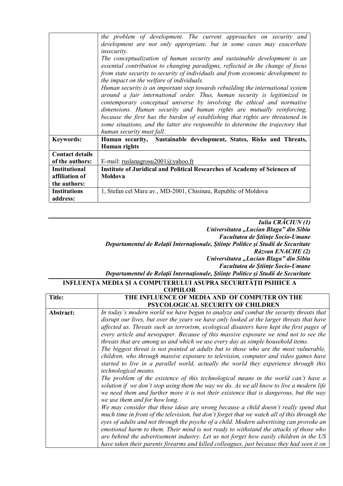|                        | the problem of development. The current approaches on security and               |
|------------------------|----------------------------------------------------------------------------------|
|                        | development are not only appropriate, but in some cases may exacerbate           |
|                        | insecurity.                                                                      |
|                        | The conceptualization of human security and sustainable development is an        |
|                        | essential contribution to changing paradigms, reflected in the change of focus   |
|                        | from state security to security of individuals and from economic development to  |
|                        | the impact on the welfare of individuals.                                        |
|                        | Human security is an important step towards rebuilding the international system  |
|                        | around a fair international order. Thus, human security is legitimized in        |
|                        | contemporary conceptual universe by involving the ethical and normative          |
|                        | dimensions. Human security and human rights are mutually reinforcing,            |
|                        | because the first has the burden of establishing that rights are threatened in   |
|                        | some situations, and the latter are responsible to determine the trajectory that |
|                        | human security must fall.                                                        |
| <b>Keywords:</b>       | Human security, Sustainable development, States, Risks and Threats,              |
|                        | <b>Human</b> rights                                                              |
| <b>Contact details</b> |                                                                                  |
| of the authors:        | E-mail: ruslanagrosu2001@yahoo.fr                                                |
| <b>Institutional</b>   | <b>Institute of Juridical and Political Researches of Academy of Sciences of</b> |
| affiliation of         | Moldova                                                                          |
| the authors:           |                                                                                  |
| <b>Institutions</b>    | 1, Stefan cel Mare av., MD-2001, Chisinau, Republic of Moldova                   |
| address:               |                                                                                  |

#### *Iulia CRĂCIUN (1) Universitatea "Lucian Blaga" din Sibiu Facultatea de Știinţe Socio-Umane Departamentul de Relaţii Internaţionale, Știinţe Politice şi Studii de Securitate Răzvan ENACHE (2) Universitatea "Lucian Blaga" din Sibiu Facultatea de Știinţe Socio-Umane Departamentul de Relaţii Internaţionale, Știinţe Politice şi Studii de Securitate*

#### **INFLUENŢA MEDIA ȘI A COMPUTERULUI ASUPRA SECURITĂŢII PSIHICE A COPIILOR**

| UUFIILUK  |                                                                                              |
|-----------|----------------------------------------------------------------------------------------------|
| Title:    | THE INFLUENCE OF MEDIA AND OF COMPUTER ON THE                                                |
|           | <b>PSYCOLOGICAL SECURITY OF CHILDREN</b>                                                     |
| Abstract: | In today's modern world we have begun to analyze and combat the security threats that        |
|           | disrupt our lives, but over the years we have only looked at the larger threats that have    |
|           | affected us. Threats such as terrorism, ecological disasters have kept the first pages of    |
|           | every article and newspaper. Because of this massive exposure we tend not to see the         |
|           | threats that are among us and which we use every day as simple household items.              |
|           | The biggest threat is not pointed at adults but to those who are the most vulnerable,        |
|           | children, who through massive exposure to television, computer and video games have          |
|           | started to live in a parallel world, actually the world they experience through this         |
|           | technological means.                                                                         |
|           | The problem of the existence of this technological means in the world can't have a           |
|           | solution if we don't stop using them the way we do. As we all know to live a modern life     |
|           | we need them and further more it is not their existence that is dangerous, but the way       |
|           | we use them and for how long.                                                                |
|           | We may consider that these ideas are wrong because a child doesn't really spend that         |
|           | much time in front of the television, but don't forget that we watch all of this through the |
|           | eyes of adults and not through the psyche of a child. Modern advertising can provoke an      |
|           | emotional harm to them. Their mind is not ready to withstand the attacks of those who        |
|           | are behind the advertisement industry. Let us not forget how easily children in the US       |
|           | have taken their parents firearms and killed colleagues, just because they had seen it on    |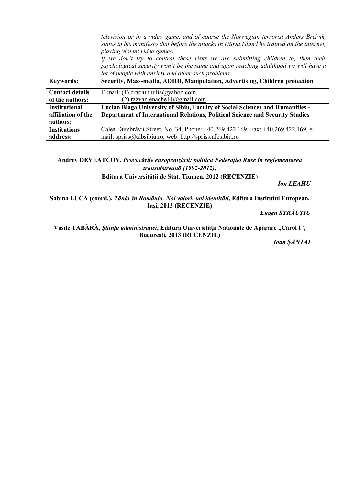|                        | television or in a video game, and of course the Norwegian terrorist Anders Breivik,<br>states in his manifesto that before the attacks in Utoya Island he trained on the internet,<br>playing violent video games.<br>If we don't try to control these risks we are submitting children to, then their<br>psychological security won't be the same and upon reaching adulthood we will have a<br>lot of people with anxiety and other such problems. |
|------------------------|-------------------------------------------------------------------------------------------------------------------------------------------------------------------------------------------------------------------------------------------------------------------------------------------------------------------------------------------------------------------------------------------------------------------------------------------------------|
| <b>Keywords:</b>       | Security, Mass-media, ADHD, Manipulation, Advertising, Children protection                                                                                                                                                                                                                                                                                                                                                                            |
| <b>Contact details</b> | E-mail: (1) craciun.iulia@yahoo.com,                                                                                                                                                                                                                                                                                                                                                                                                                  |
| of the authors:        | (2) razvan.enachel $4@g$ mail.com                                                                                                                                                                                                                                                                                                                                                                                                                     |
| <b>Institutional</b>   | Lucian Blaga University of Sibiu, Faculty of Social Sciences and Humanities -                                                                                                                                                                                                                                                                                                                                                                         |
| affiliation of the     | <b>Department of International Relations, Political Science and Security Studies</b>                                                                                                                                                                                                                                                                                                                                                                  |
| authors:               |                                                                                                                                                                                                                                                                                                                                                                                                                                                       |
| <b>Institutions</b>    | Calea Dumbrăvii Street, No. 34, Phone: +40.269.422.169, Fax: +40.269.422.169, e-                                                                                                                                                                                                                                                                                                                                                                      |
| address:               | mail: spriss@ulbsibiu.ro, web: http://spriss.ulbsibiu.ro                                                                                                                                                                                                                                                                                                                                                                                              |

### **Andrey DEVEATCOV,** *Provocările europenizării: politica Federației Ruse în reglementarea transnistreană (1992-2012)***,**

**Editura Universității de Stat, Tiumen, 2012 (RECENZIE)**

*Ion LEAHU*

**Sabina LUCA (coord.),** *Tânăr în România. Noi valori, noi identități***, Editura Institutul European, Iași, 2013 (RECENZIE)**

*Eugen STRĂUȚIU*

Vasile TABĂRĂ, Știința administrației, Editura Universității Naționale de Apărare "Carol I", **București, 2013 (RECENZIE)**

*Ioan ȘANTAI*